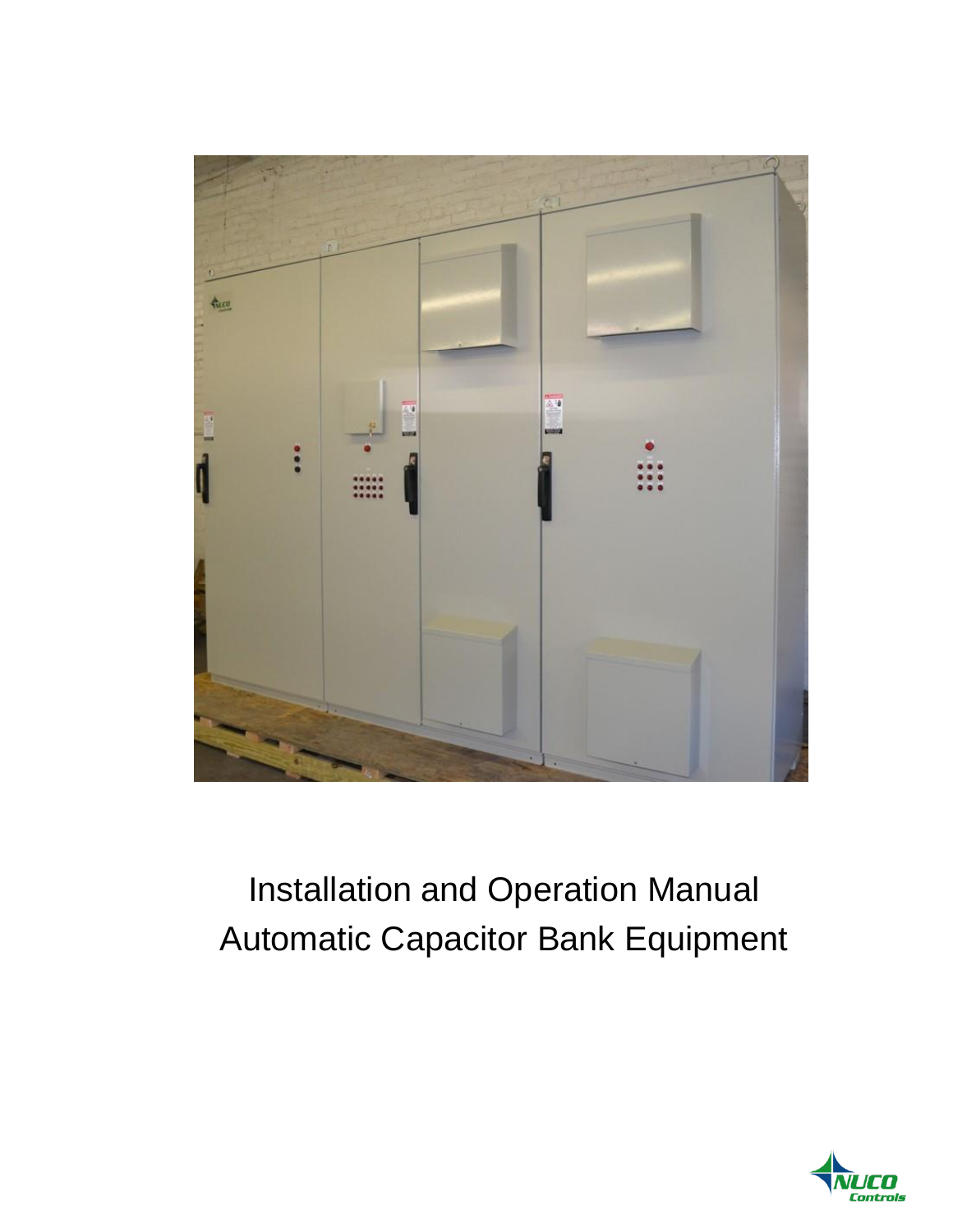

# Installation and Operation Manual Automatic Capacitor Bank Equipment

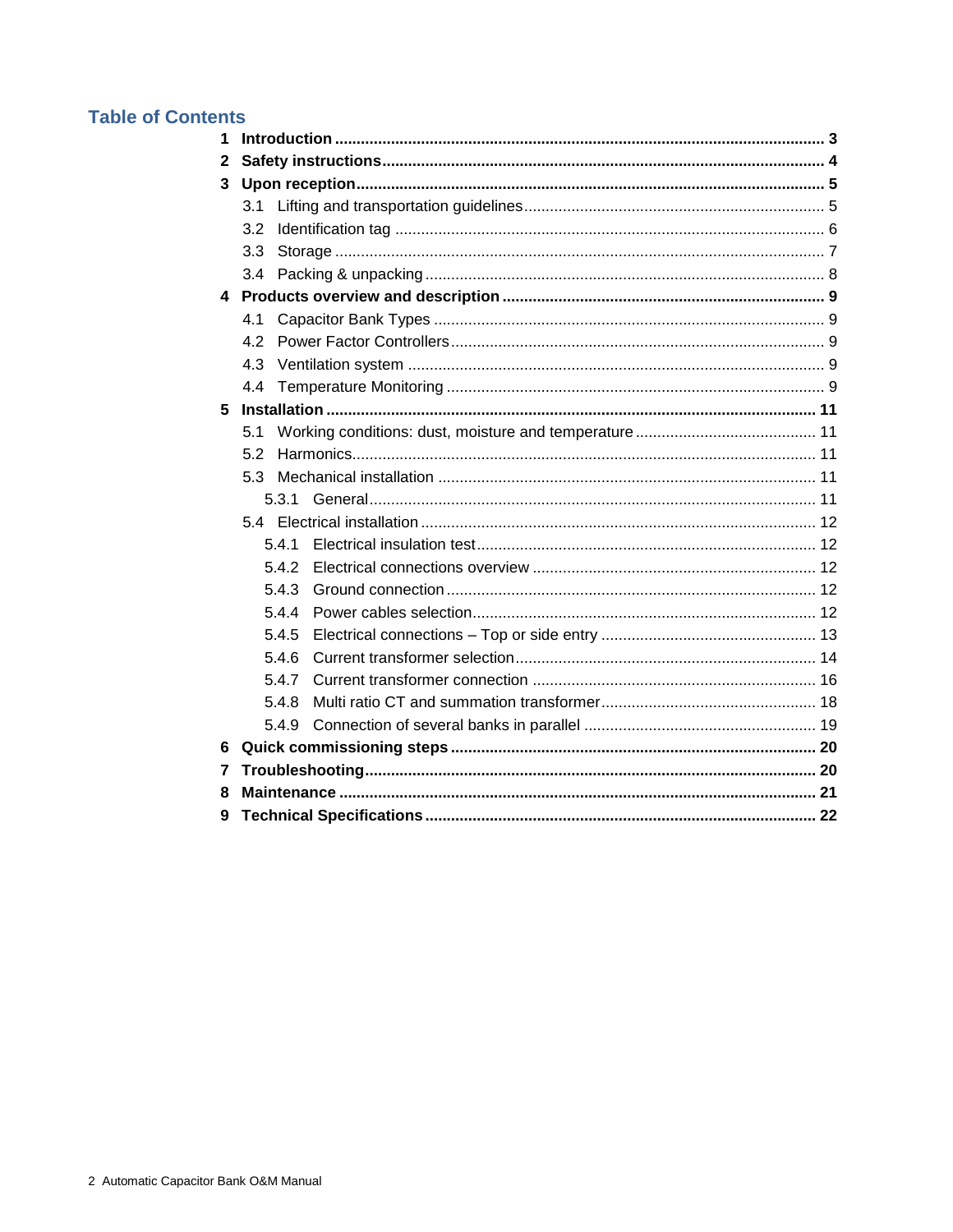# **Table of Contents**

| 1  |                  |       |  |  |  |  |
|----|------------------|-------|--|--|--|--|
| 2  |                  |       |  |  |  |  |
| 3  |                  |       |  |  |  |  |
|    | 3.1              |       |  |  |  |  |
|    | 3.2              |       |  |  |  |  |
|    | 3.3 <sub>2</sub> |       |  |  |  |  |
|    | 3.4              |       |  |  |  |  |
| 4  |                  |       |  |  |  |  |
|    | 4.1              |       |  |  |  |  |
|    | 4.2              |       |  |  |  |  |
|    | 4.3              |       |  |  |  |  |
|    | 4.4              |       |  |  |  |  |
| 5. |                  |       |  |  |  |  |
|    | 5.1              |       |  |  |  |  |
|    | 5.2              |       |  |  |  |  |
|    | 5.3              |       |  |  |  |  |
|    |                  | 5.3.1 |  |  |  |  |
|    |                  |       |  |  |  |  |
|    | 5.4.1            |       |  |  |  |  |
|    | 5.4.2            |       |  |  |  |  |
|    |                  | 5.4.3 |  |  |  |  |
|    | 5.4.4            |       |  |  |  |  |
|    | 5.4.5            |       |  |  |  |  |
|    | 5.4.6            |       |  |  |  |  |
|    | 5.4.7            |       |  |  |  |  |
|    |                  | 5.4.8 |  |  |  |  |
|    |                  | 5.4.9 |  |  |  |  |
| 6  |                  |       |  |  |  |  |
| 7  |                  |       |  |  |  |  |
| 8  |                  |       |  |  |  |  |
| 9  |                  |       |  |  |  |  |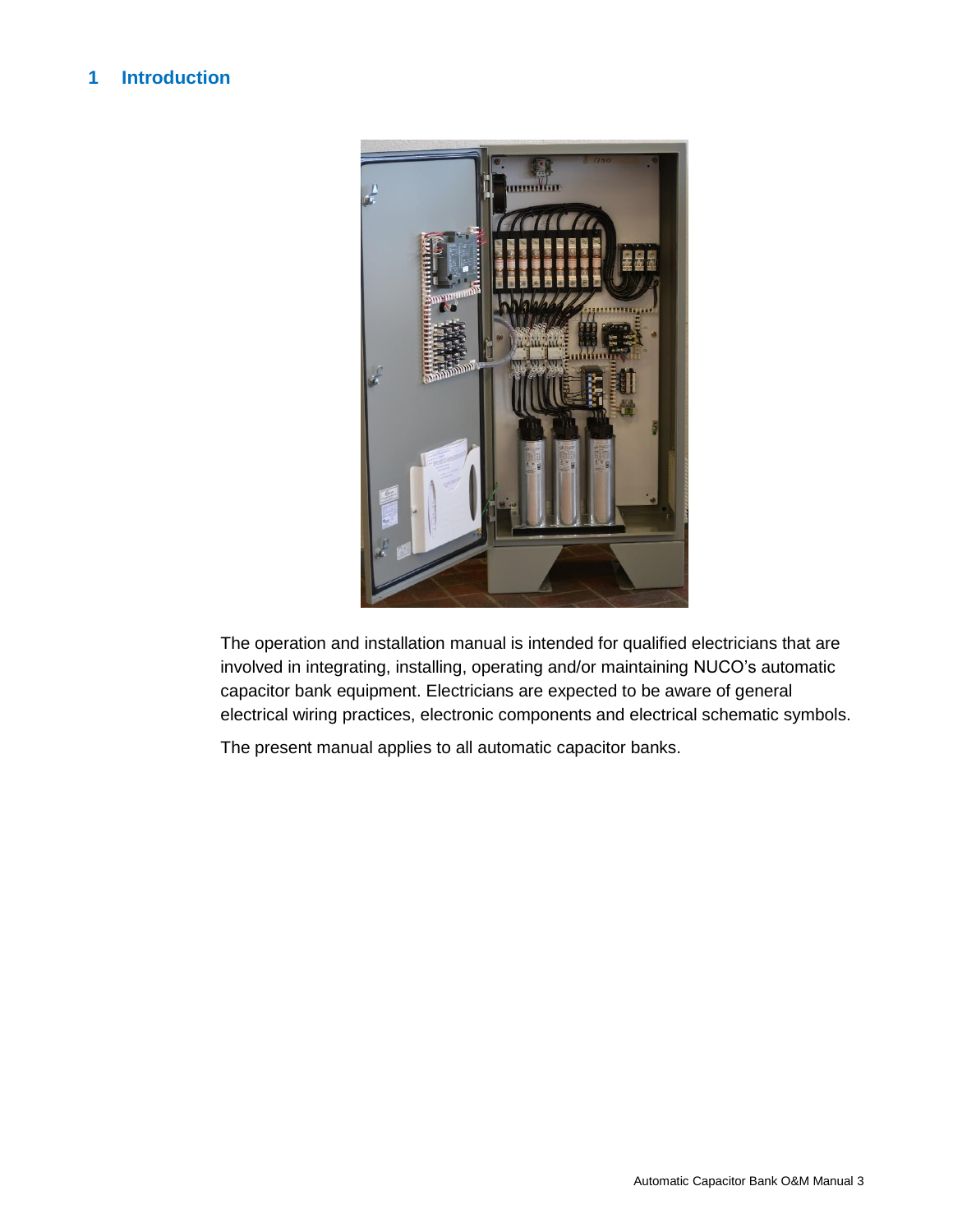# <span id="page-2-0"></span>**1 Introduction**



The operation and installation manual is intended for qualified electricians that are involved in integrating, installing, operating and/or maintaining NUCO's automatic capacitor bank equipment. Electricians are expected to be aware of general electrical wiring practices, electronic components and electrical schematic symbols.

The present manual applies to all automatic capacitor banks.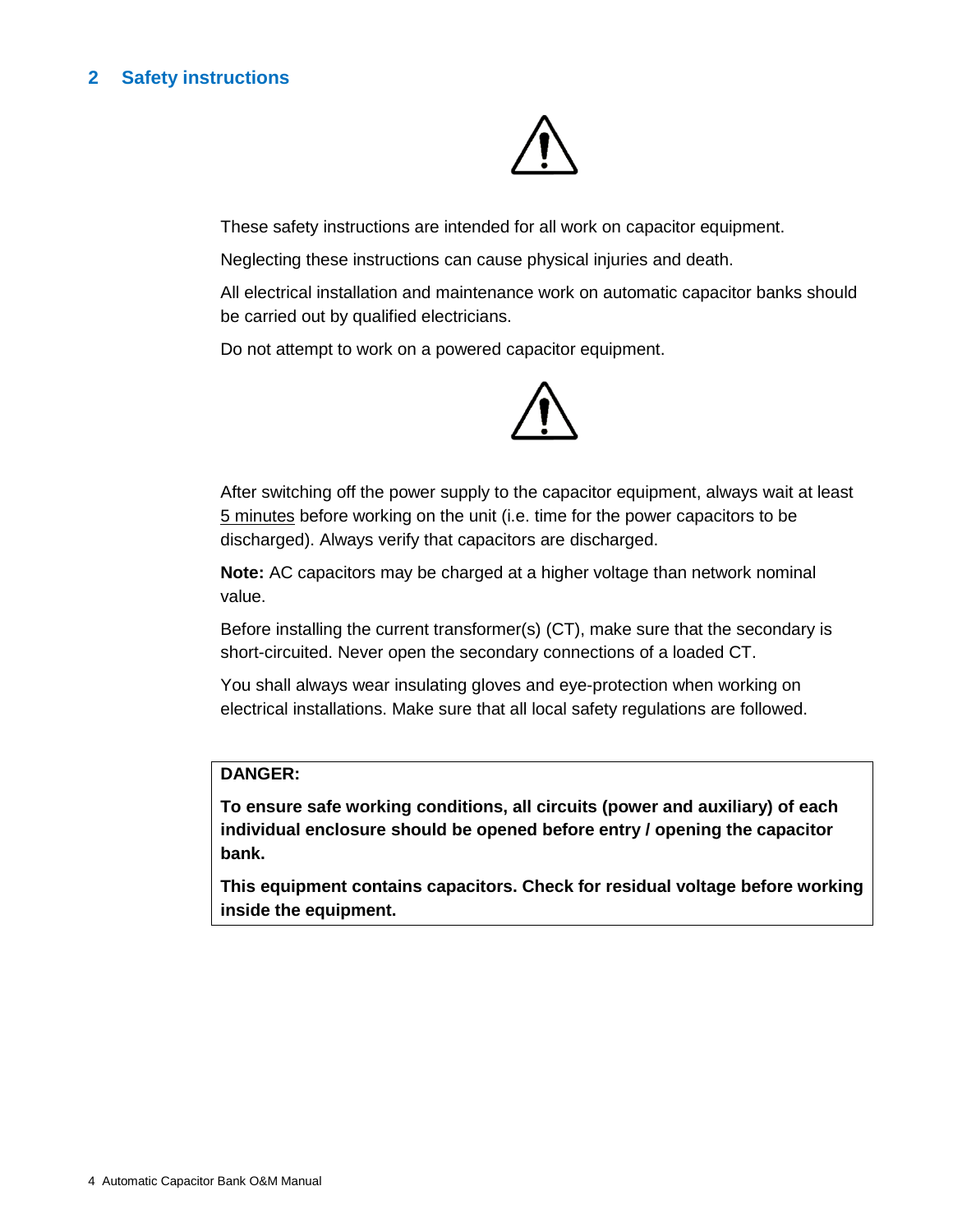# <span id="page-3-0"></span>**2 Safety instructions**



These safety instructions are intended for all work on capacitor equipment.

Neglecting these instructions can cause physical injuries and death.

All electrical installation and maintenance work on automatic capacitor banks should be carried out by qualified electricians.

Do not attempt to work on a powered capacitor equipment.



After switching off the power supply to the capacitor equipment, always wait at least 5 minutes before working on the unit (i.e. time for the power capacitors to be discharged). Always verify that capacitors are discharged.

**Note:** AC capacitors may be charged at a higher voltage than network nominal value.

Before installing the current transformer(s) (CT), make sure that the secondary is short-circuited. Never open the secondary connections of a loaded CT.

You shall always wear insulating gloves and eye-protection when working on electrical installations. Make sure that all local safety regulations are followed.

#### **DANGER:**

**To ensure safe working conditions, all circuits (power and auxiliary) of each individual enclosure should be opened before entry / opening the capacitor bank.**

**This equipment contains capacitors. Check for residual voltage before working inside the equipment.**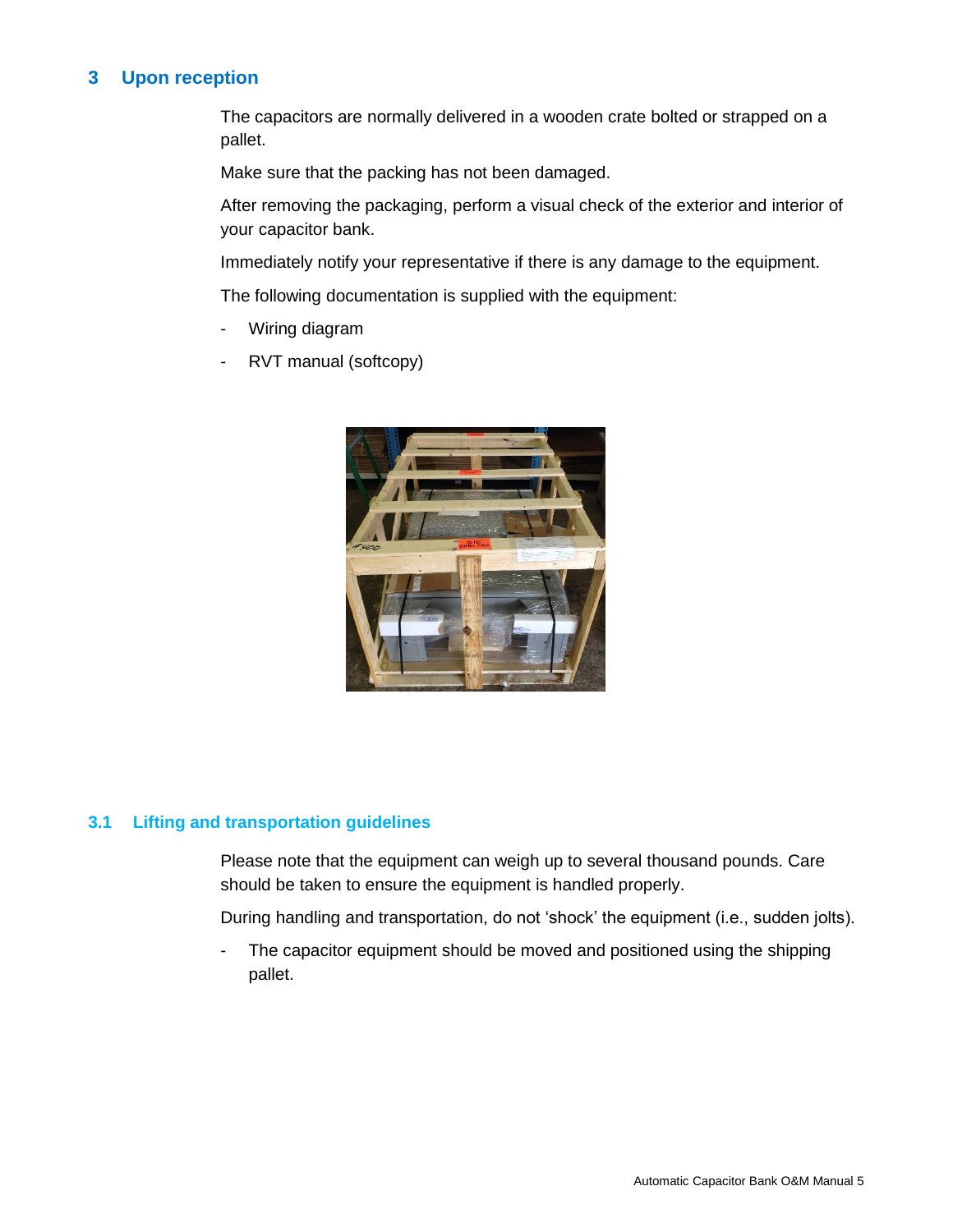## <span id="page-4-0"></span>**3 Upon reception**

The capacitors are normally delivered in a wooden crate bolted or strapped on a pallet.

Make sure that the packing has not been damaged.

After removing the packaging, perform a visual check of the exterior and interior of your capacitor bank.

Immediately notify your representative if there is any damage to the equipment.

The following documentation is supplied with the equipment:

- Wiring diagram
- RVT manual (softcopy)



#### <span id="page-4-1"></span>**3.1 Lifting and transportation guidelines**

Please note that the equipment can weigh up to several thousand pounds. Care should be taken to ensure the equipment is handled properly.

During handling and transportation, do not 'shock' the equipment (i.e., sudden jolts).

The capacitor equipment should be moved and positioned using the shipping pallet.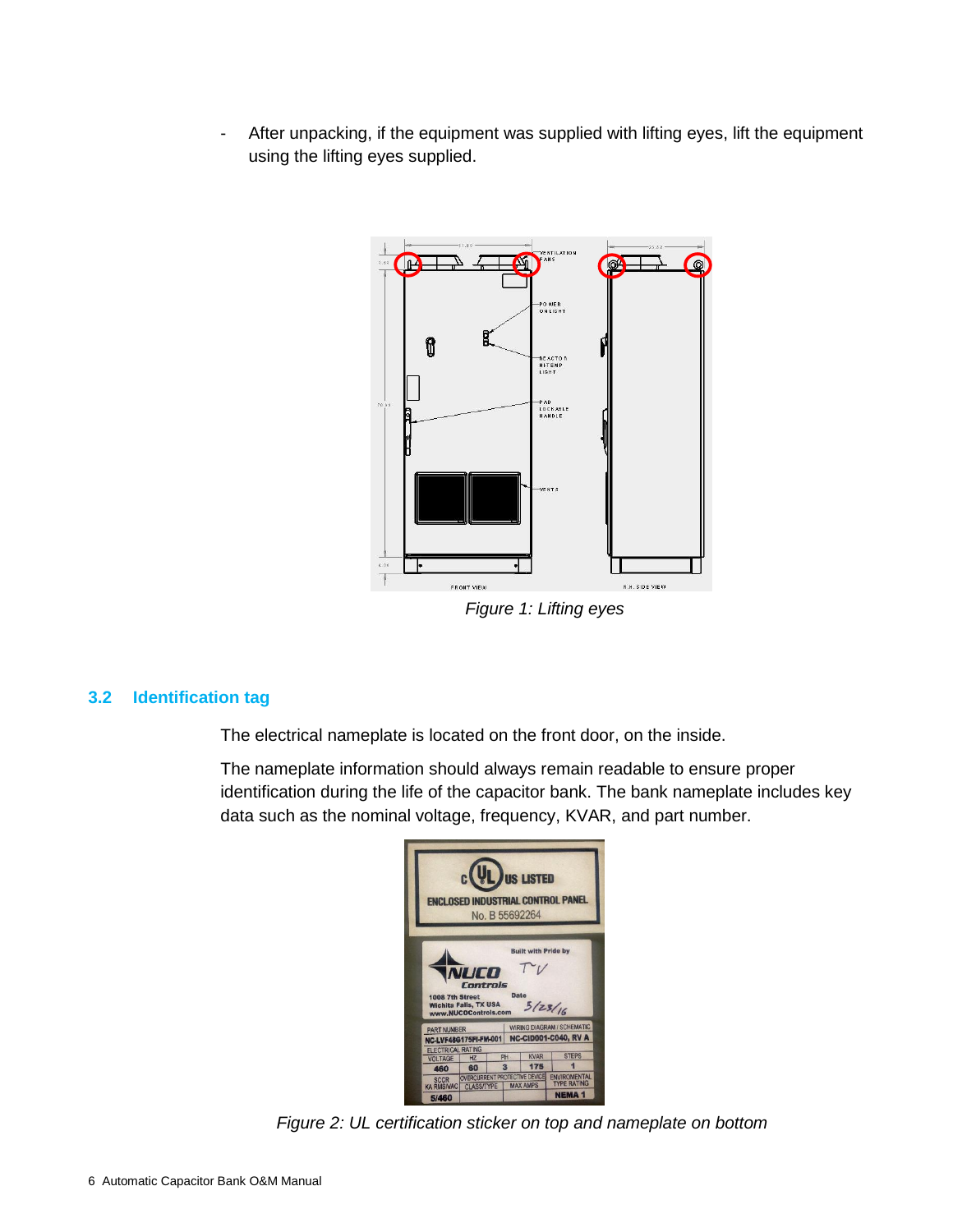- After unpacking, if the equipment was supplied with lifting eyes, lift the equipment using the lifting eyes supplied.



*Figure 1: Lifting eyes*

#### <span id="page-5-0"></span>**3.2 Identification tag**

The electrical nameplate is located on the front door, on the inside.

The nameplate information should always remain readable to ensure proper identification during the life of the capacitor bank. The bank nameplate includes key data such as the nominal voltage, frequency, KVAR, and part number.



*Figure 2: UL certification sticker on top and nameplate on bottom*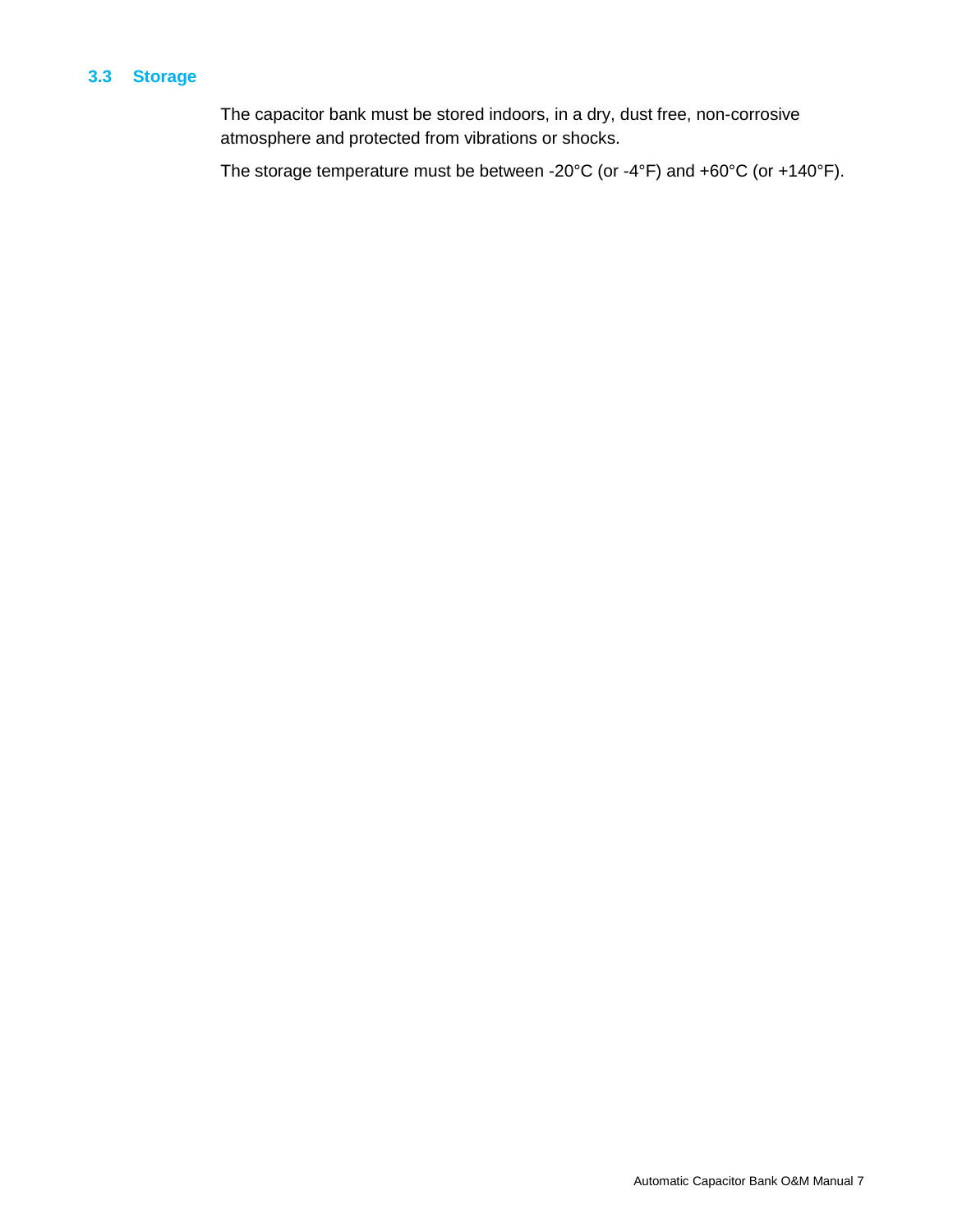### <span id="page-6-0"></span>**3.3 Storage**

The capacitor bank must be stored indoors, in a dry, dust free, non-corrosive atmosphere and protected from vibrations or shocks.

The storage temperature must be between -20°C (or -4°F) and +60°C (or +140°F).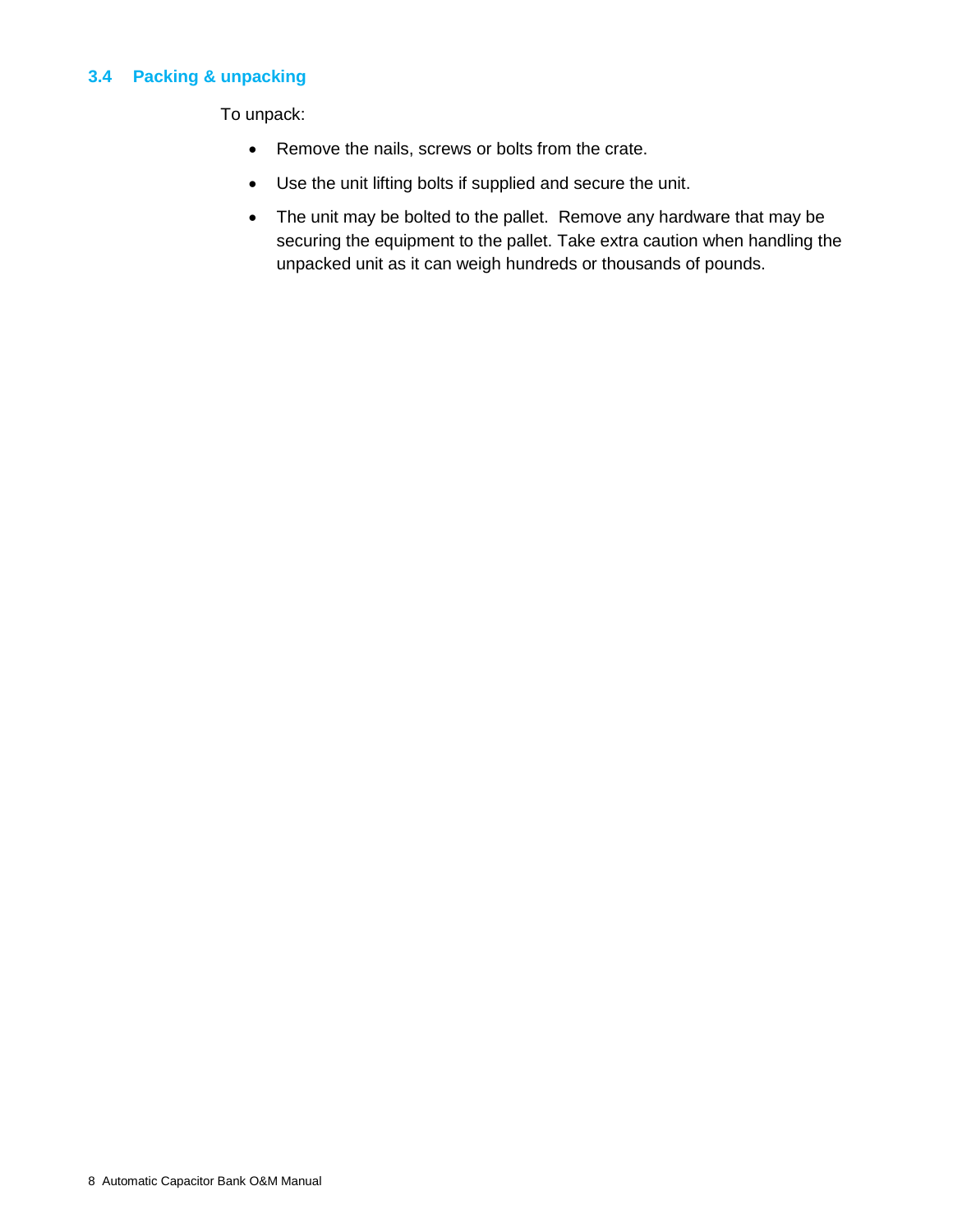#### <span id="page-7-0"></span>**3.4 Packing & unpacking**

To unpack:

- Remove the nails, screws or bolts from the crate.
- Use the unit lifting bolts if supplied and secure the unit.
- The unit may be bolted to the pallet. Remove any hardware that may be securing the equipment to the pallet. Take extra caution when handling the unpacked unit as it can weigh hundreds or thousands of pounds.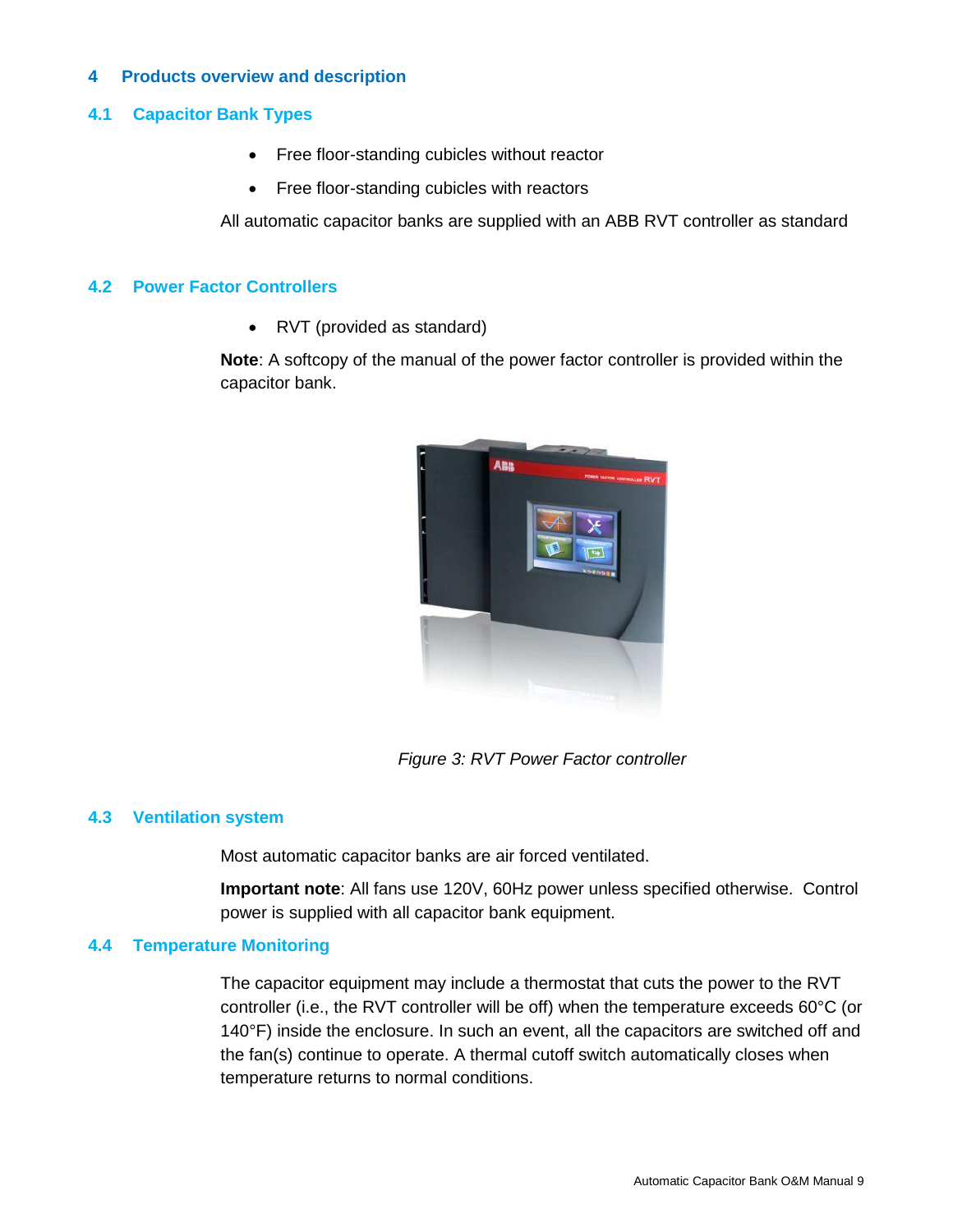#### <span id="page-8-0"></span>**4 Products overview and description**

#### <span id="page-8-1"></span>**4.1 Capacitor Bank Types**

- Free floor-standing cubicles without reactor
- Free floor-standing cubicles with reactors

All automatic capacitor banks are supplied with an ABB RVT controller as standard

#### <span id="page-8-2"></span>**4.2 Power Factor Controllers**

• RVT (provided as standard)

**Note**: A softcopy of the manual of the power factor controller is provided within the capacitor bank.



*Figure 3: RVT Power Factor controller*

#### <span id="page-8-3"></span>**4.3 Ventilation system**

Most automatic capacitor banks are air forced ventilated.

**Important note**: All fans use 120V, 60Hz power unless specified otherwise. Control power is supplied with all capacitor bank equipment.

#### <span id="page-8-4"></span>**4.4 Temperature Monitoring**

The capacitor equipment may include a thermostat that cuts the power to the RVT controller (i.e., the RVT controller will be off) when the temperature exceeds 60°C (or 140°F) inside the enclosure. In such an event, all the capacitors are switched off and the fan(s) continue to operate. A thermal cutoff switch automatically closes when temperature returns to normal conditions.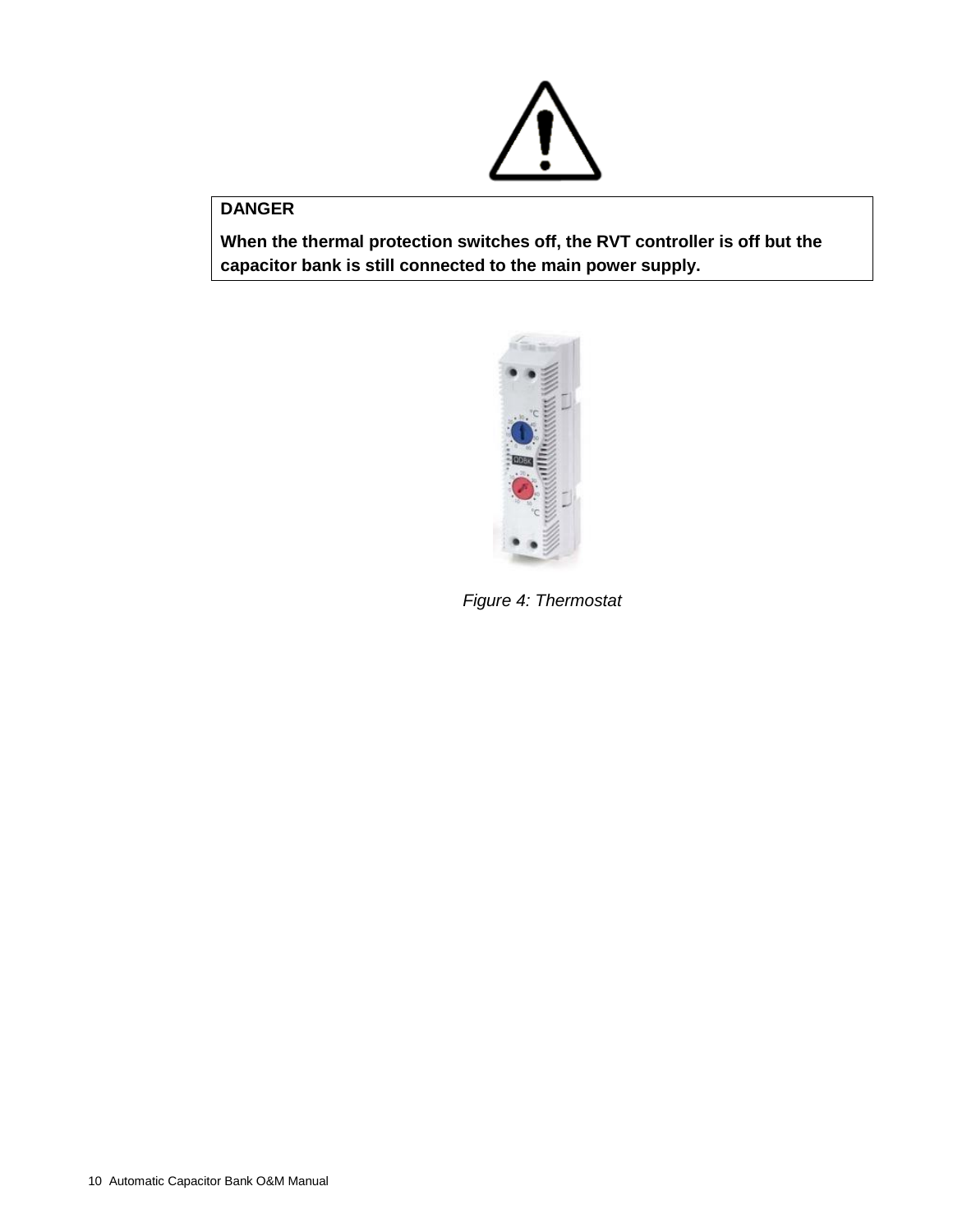# **DANGER**

**When the thermal protection switches off, the RVT controller is off but the capacitor bank is still connected to the main power supply.**



*Figure 4: Thermostat*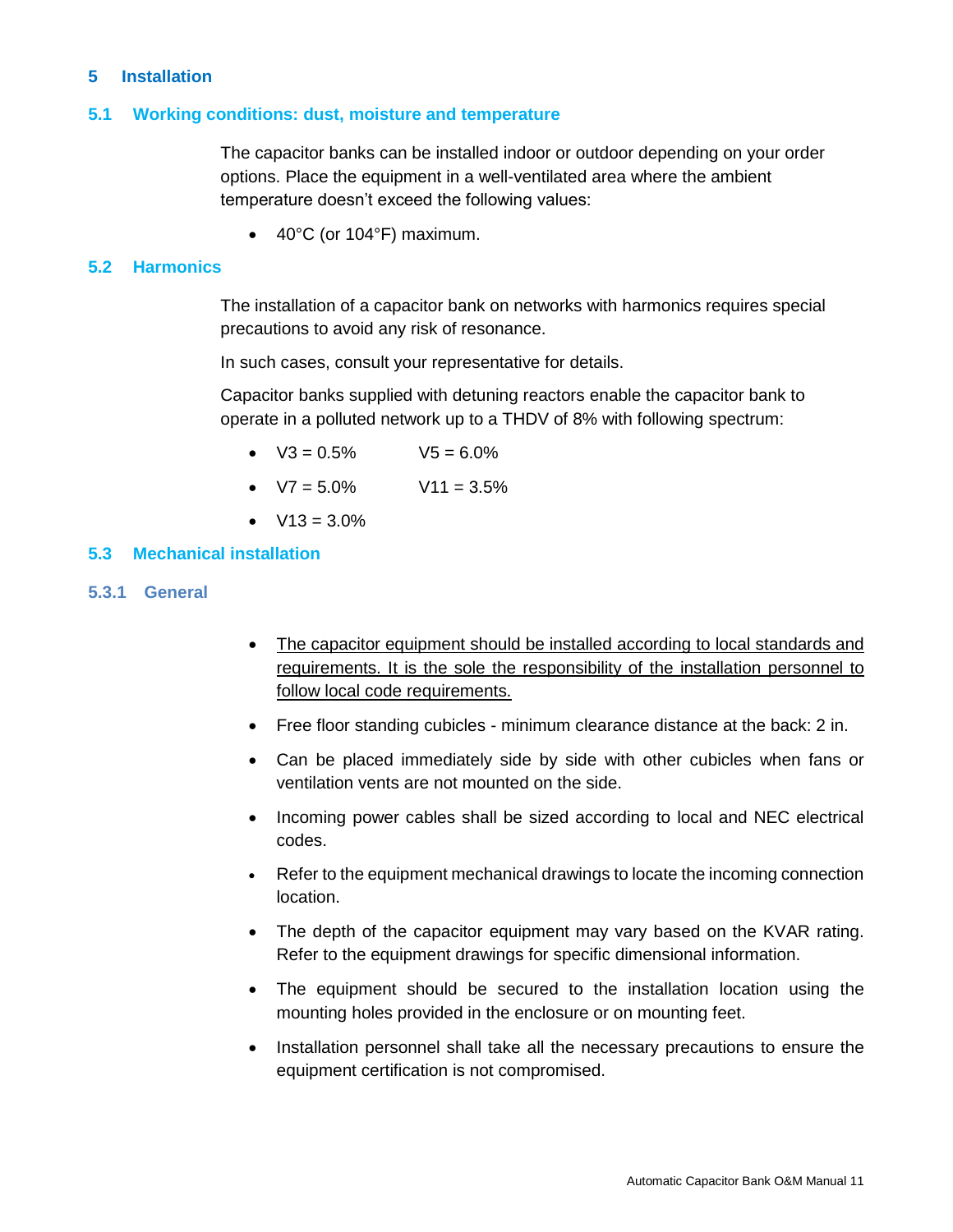#### <span id="page-10-0"></span>**5 Installation**

#### <span id="page-10-1"></span>**5.1 Working conditions: dust, moisture and temperature**

The capacitor banks can be installed indoor or outdoor depending on your order options. Place the equipment in a well-ventilated area where the ambient temperature doesn't exceed the following values:

• 40°C (or 104°F) maximum.

#### <span id="page-10-2"></span>**5.2 Harmonics**

The installation of a capacitor bank on networks with harmonics requires special precautions to avoid any risk of resonance.

In such cases, consult your representative for details.

Capacitor banks supplied with detuning reactors enable the capacitor bank to operate in a polluted network up to a THDV of 8% with following spectrum:

- $V3 = 0.5\%$   $V5 = 6.0\%$
- $V7 = 5.0\%$   $V11 = 3.5\%$
- $V13 = 3.0\%$

#### <span id="page-10-3"></span>**5.3 Mechanical installation**

#### <span id="page-10-4"></span>**5.3.1 General**

- The capacitor equipment should be installed according to local standards and requirements. It is the sole the responsibility of the installation personnel to follow local code requirements.
- Free floor standing cubicles minimum clearance distance at the back: 2 in.
- Can be placed immediately side by side with other cubicles when fans or ventilation vents are not mounted on the side.
- Incoming power cables shall be sized according to local and NEC electrical codes.
- Refer to the equipment mechanical drawings to locate the incoming connection location.
- The depth of the capacitor equipment may vary based on the KVAR rating. Refer to the equipment drawings for specific dimensional information.
- The equipment should be secured to the installation location using the mounting holes provided in the enclosure or on mounting feet.
- Installation personnel shall take all the necessary precautions to ensure the equipment certification is not compromised.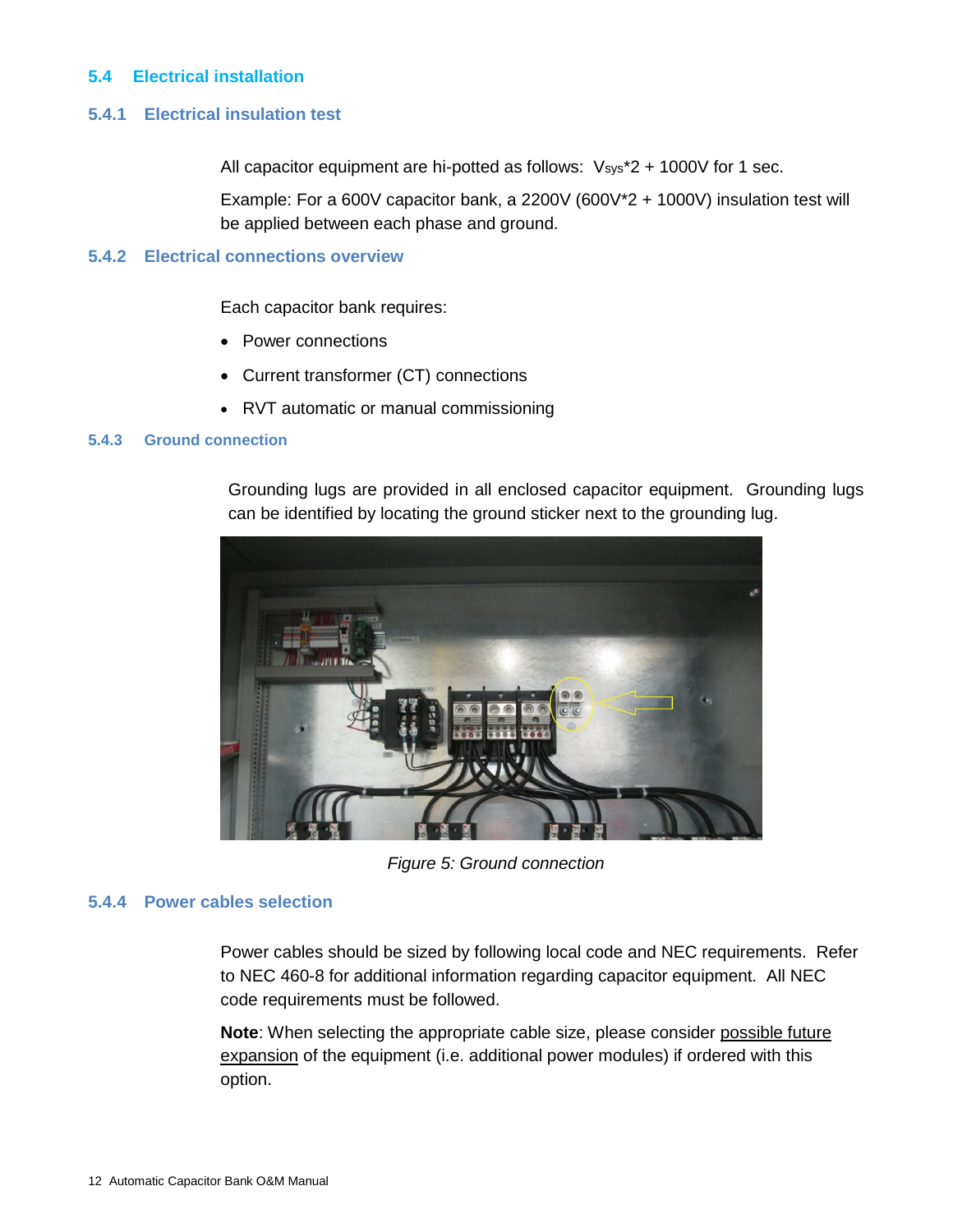#### <span id="page-11-0"></span>**5.4 Electrical installation**

#### <span id="page-11-1"></span>**5.4.1 Electrical insulation test**

All capacitor equipment are hi-potted as follows: Vsys\*2 + 1000V for 1 sec.

Example: For a 600V capacitor bank, a 2200V (600V\*2 + 1000V) insulation test will be applied between each phase and ground.

#### <span id="page-11-2"></span>**5.4.2 Electrical connections overview**

Each capacitor bank requires:

- Power connections
- Current transformer (CT) connections
- RVT automatic or manual commissioning

#### <span id="page-11-3"></span>**5.4.3 Ground connection**

Grounding lugs are provided in all enclosed capacitor equipment. Grounding lugs can be identified by locating the ground sticker next to the grounding lug.



 *Figure 5: Ground connection* 

#### <span id="page-11-4"></span>**5.4.4 Power cables selection**

Power cables should be sized by following local code and NEC requirements. Refer to NEC 460-8 for additional information regarding capacitor equipment. All NEC code requirements must be followed.

**Note**: When selecting the appropriate cable size, please consider possible future expansion of the equipment (i.e. additional power modules) if ordered with this option.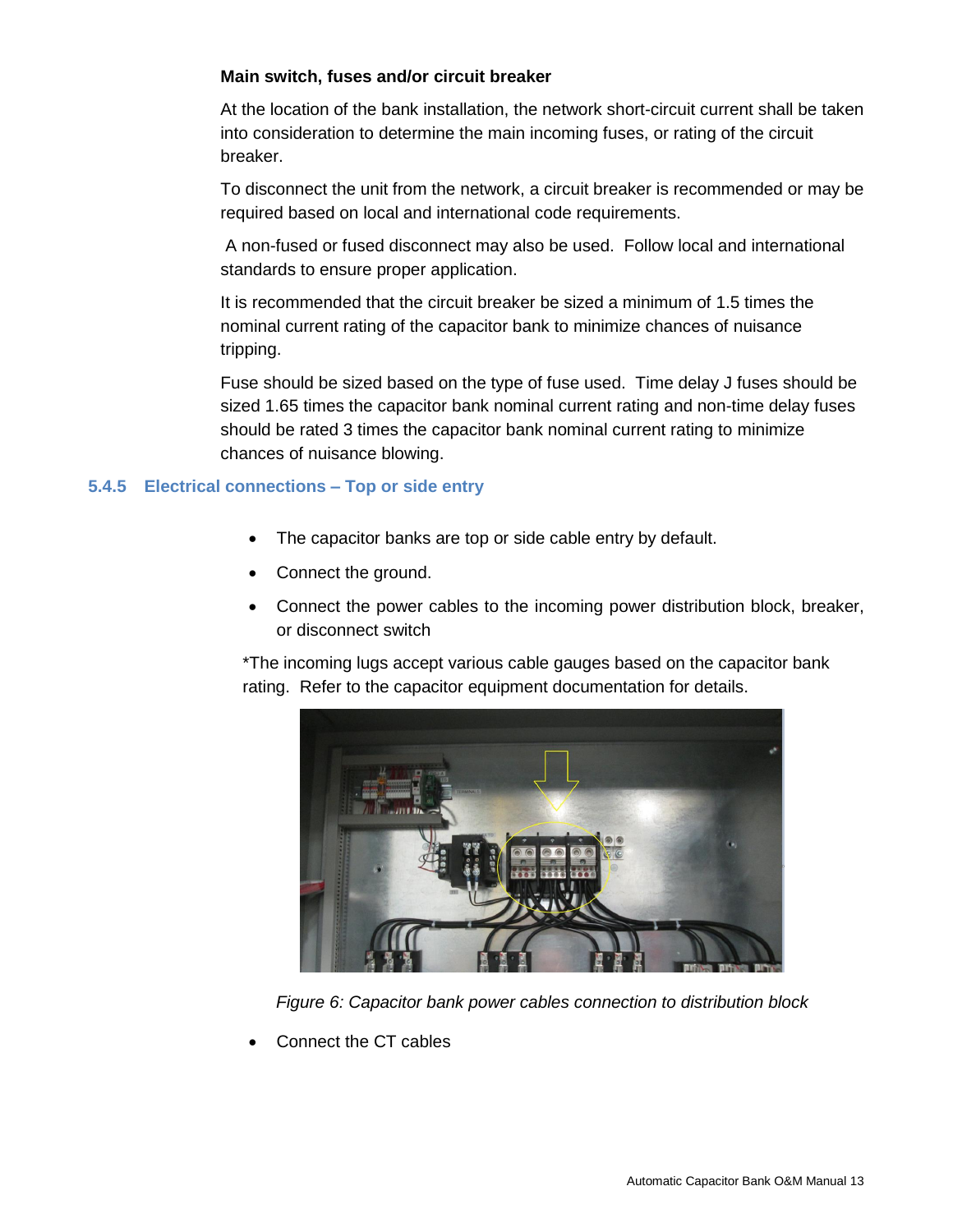#### **Main switch, fuses and/or circuit breaker**

At the location of the bank installation, the network short-circuit current shall be taken into consideration to determine the main incoming fuses, or rating of the circuit breaker.

To disconnect the unit from the network, a circuit breaker is recommended or may be required based on local and international code requirements.

A non-fused or fused disconnect may also be used. Follow local and international standards to ensure proper application.

It is recommended that the circuit breaker be sized a minimum of 1.5 times the nominal current rating of the capacitor bank to minimize chances of nuisance tripping.

Fuse should be sized based on the type of fuse used. Time delay J fuses should be sized 1.65 times the capacitor bank nominal current rating and non-time delay fuses should be rated 3 times the capacitor bank nominal current rating to minimize chances of nuisance blowing.

#### <span id="page-12-0"></span>**5.4.5 Electrical connections – Top or side entry**

- The capacitor banks are top or side cable entry by default.
- Connect the ground.
- Connect the power cables to the incoming power distribution block, breaker, or disconnect switch

\*The incoming lugs accept various cable gauges based on the capacitor bank rating. Refer to the capacitor equipment documentation for details.



*Figure 6: Capacitor bank power cables connection to distribution block*

• Connect the CT cables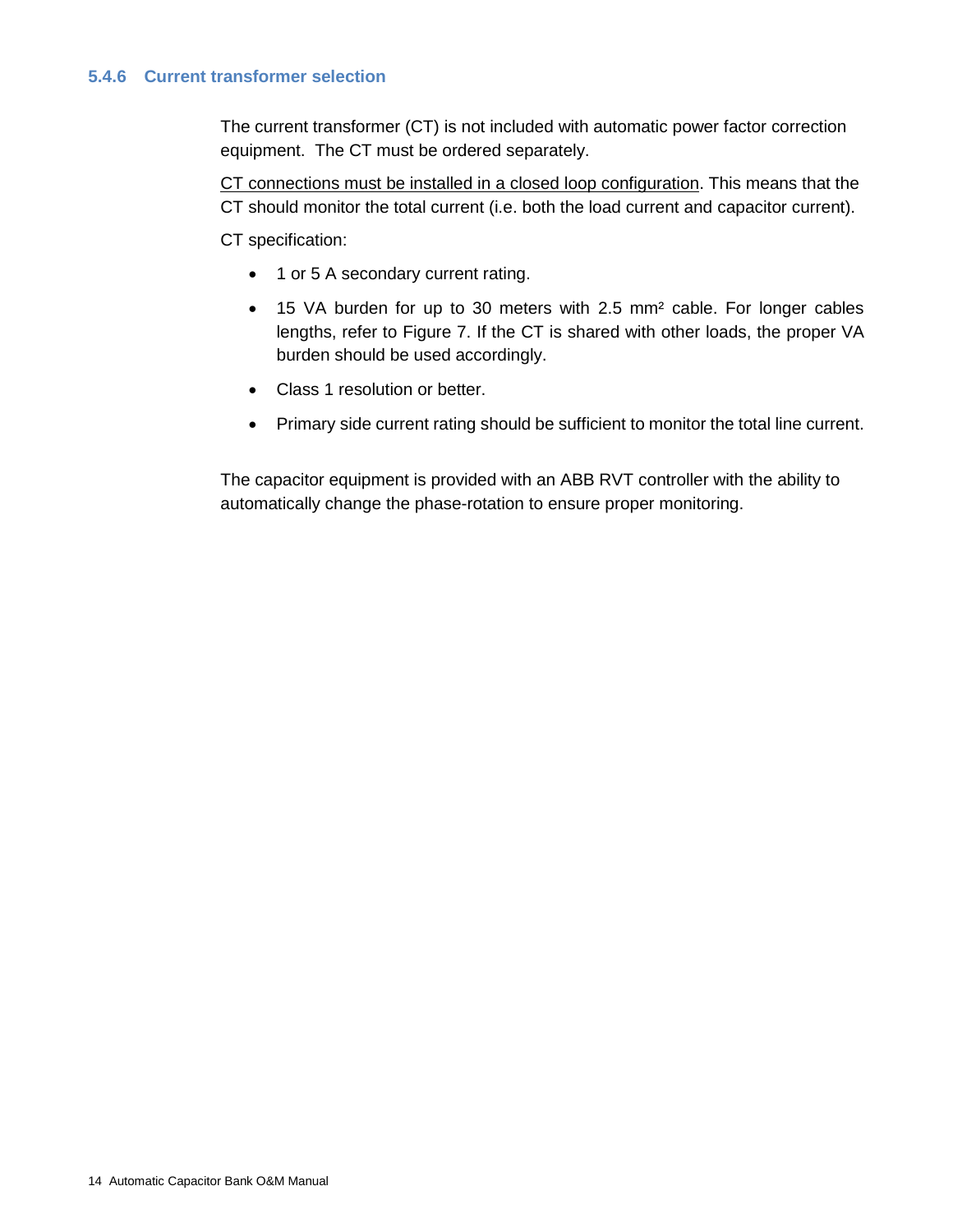#### <span id="page-13-0"></span>**5.4.6 Current transformer selection**

The current transformer (CT) is not included with automatic power factor correction equipment. The CT must be ordered separately.

CT connections must be installed in a closed loop configuration. This means that the CT should monitor the total current (i.e. both the load current and capacitor current).

CT specification:

- 1 or 5 A secondary current rating.
- 15 VA burden for up to 30 meters with 2.5 mm<sup>2</sup> cable. For longer cables lengths, refer to Figure 7. If the CT is shared with other loads, the proper VA burden should be used accordingly.
- Class 1 resolution or better.
- Primary side current rating should be sufficient to monitor the total line current.

The capacitor equipment is provided with an ABB RVT controller with the ability to automatically change the phase-rotation to ensure proper monitoring.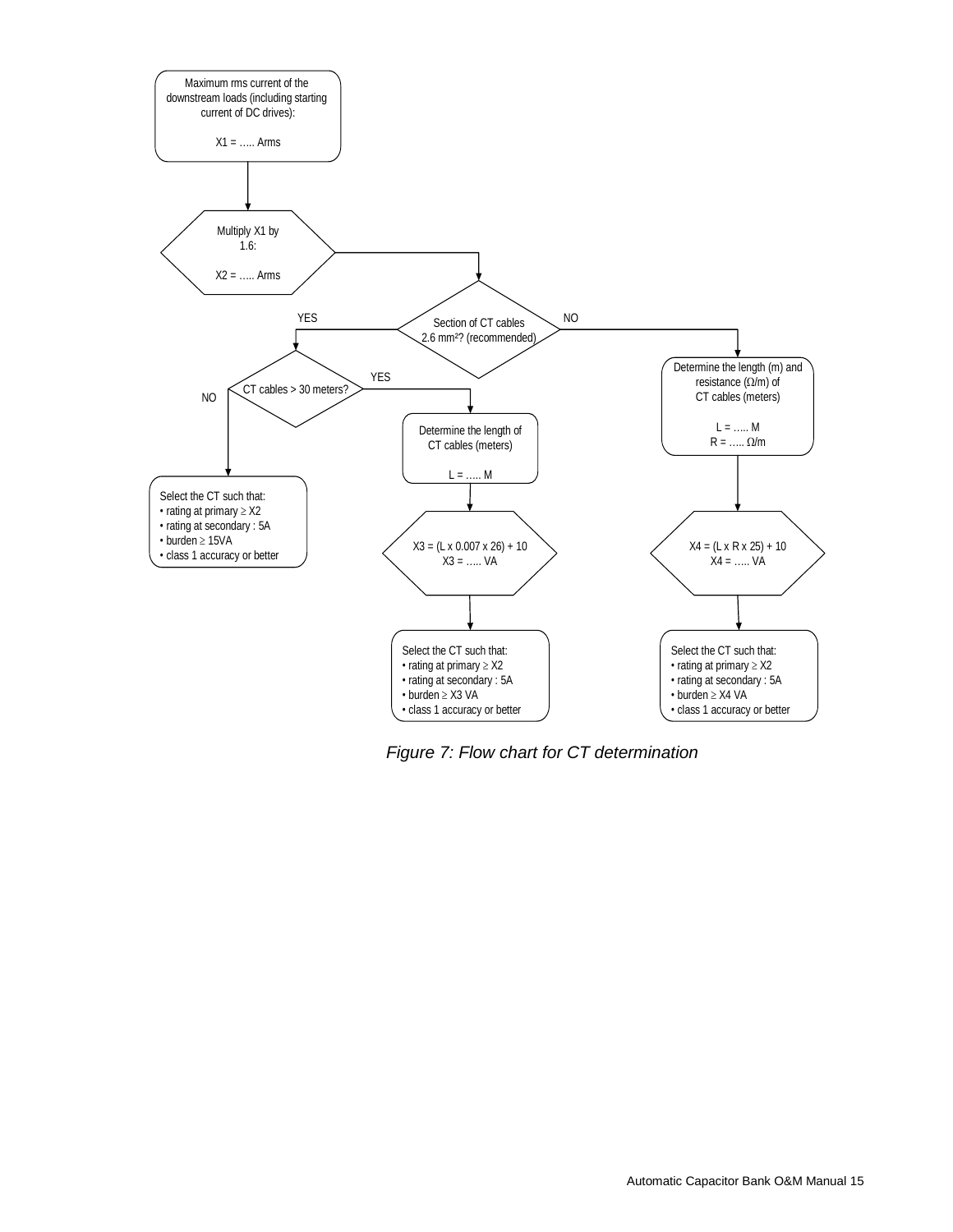

*Figure 7: Flow chart for CT determination*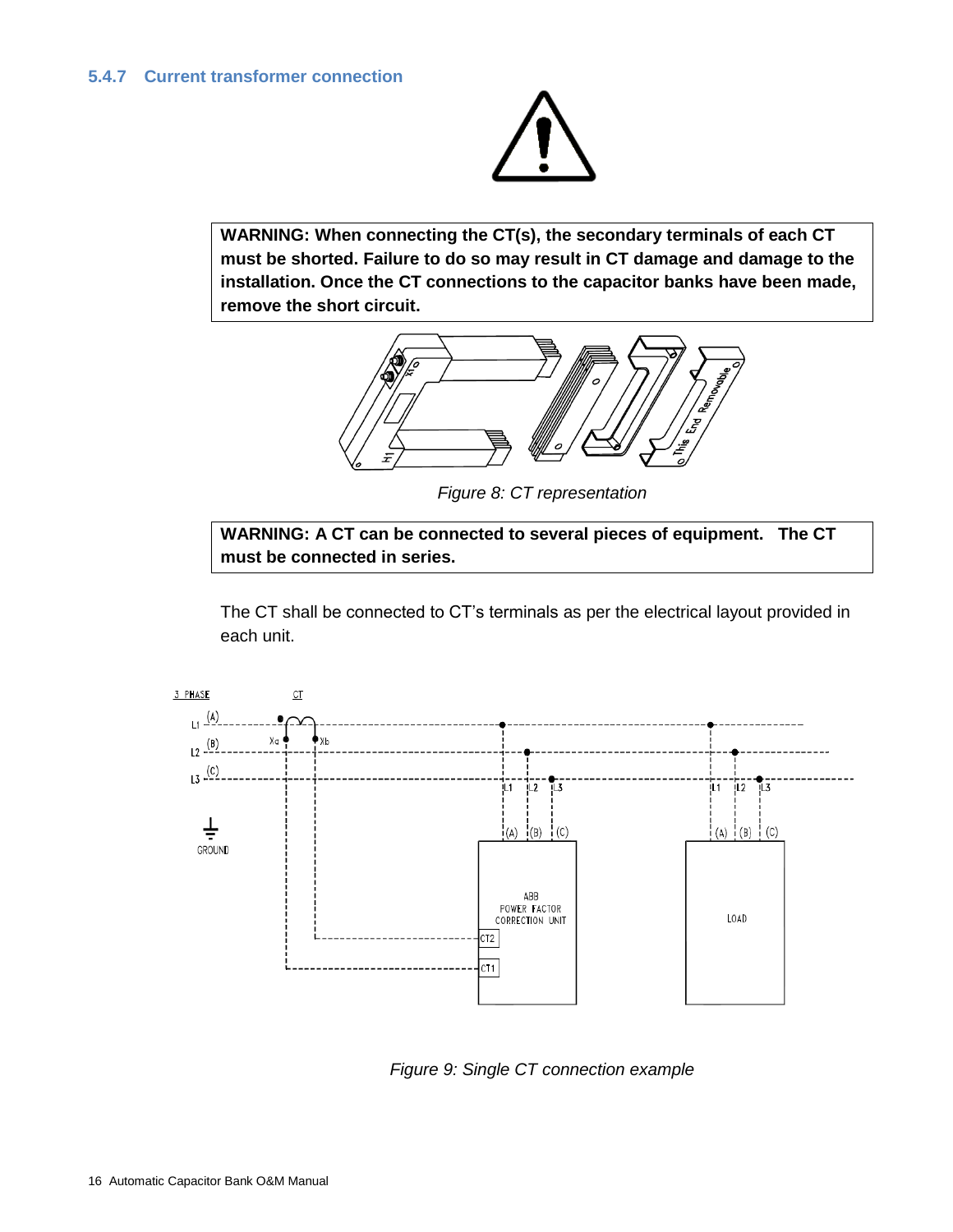

<span id="page-15-0"></span>**WARNING: When connecting the CT(s), the secondary terminals of each CT must be shorted. Failure to do so may result in CT damage and damage to the installation. Once the CT connections to the capacitor banks have been made, remove the short circuit.**



*Figure 8: CT representation*

**WARNING: A CT can be connected to several pieces of equipment. The CT must be connected in series.**

The CT shall be connected to CT's terminals as per the electrical layout provided in each unit.



*Figure 9: Single CT connection example*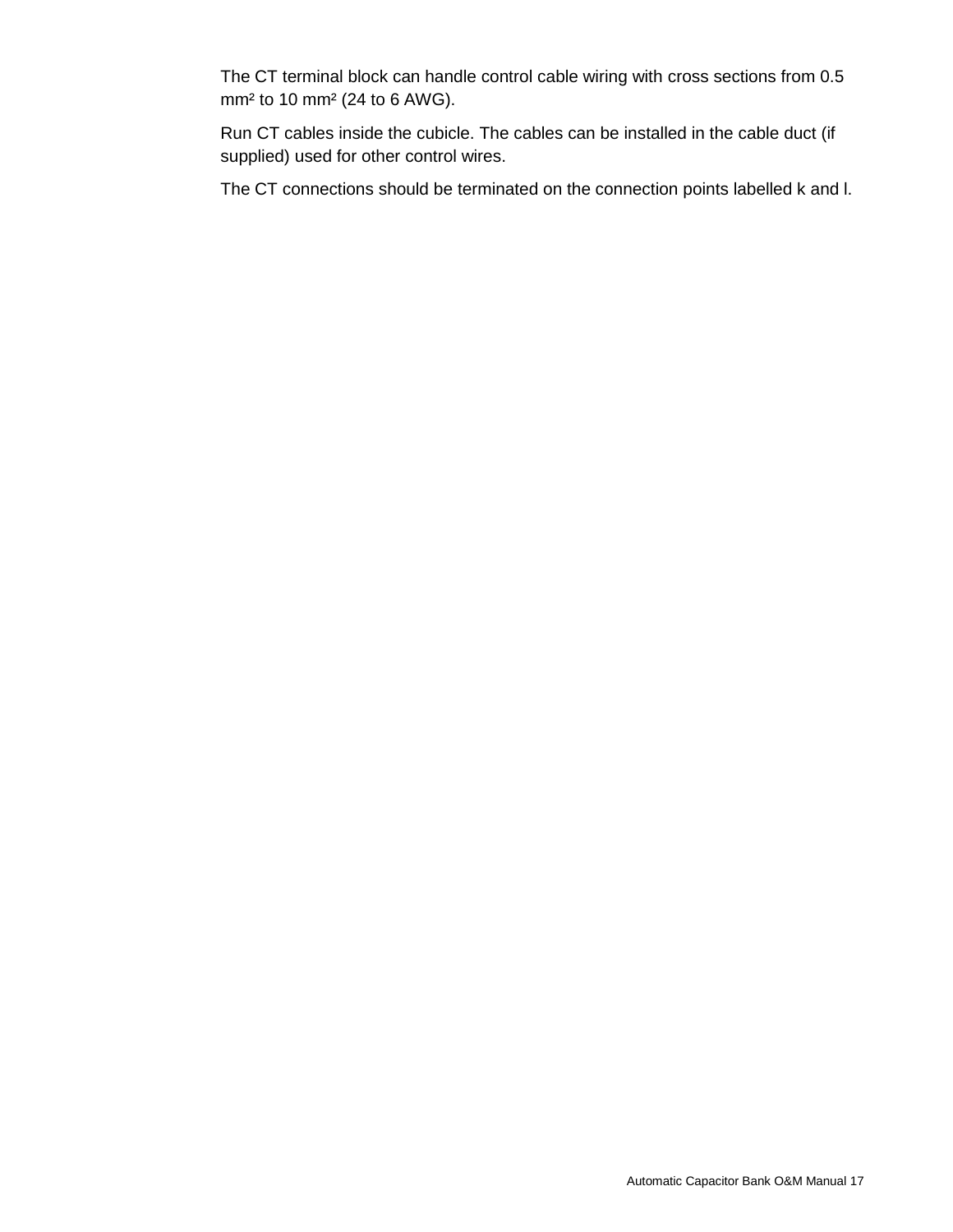The CT terminal block can handle control cable wiring with cross sections from 0.5 mm² to 10 mm² (24 to 6 AWG).

Run CT cables inside the cubicle. The cables can be installed in the cable duct (if supplied) used for other control wires.

The CT connections should be terminated on the connection points labelled k and l.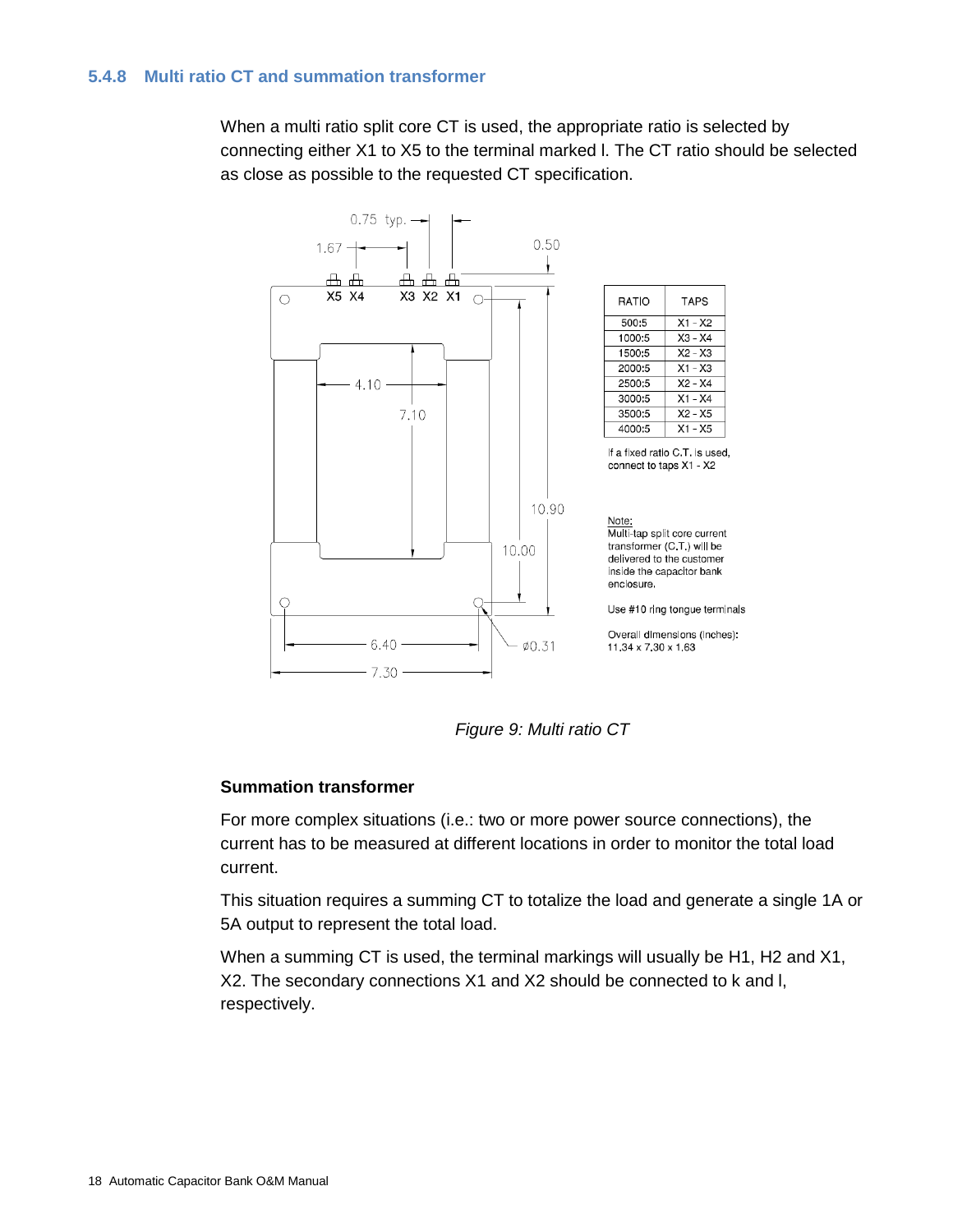<span id="page-17-0"></span>When a multi ratio split core CT is used, the appropriate ratio is selected by connecting either X1 to X5 to the terminal marked l. The CT ratio should be selected as close as possible to the requested CT specification.



*Figure 9: Multi ratio CT*

#### **Summation transformer**

For more complex situations (i.e.: two or more power source connections), the current has to be measured at different locations in order to monitor the total load current.

This situation requires a summing CT to totalize the load and generate a single 1A or 5A output to represent the total load.

When a summing CT is used, the terminal markings will usually be H1, H2 and X1, X2. The secondary connections X1 and X2 should be connected to k and l, respectively.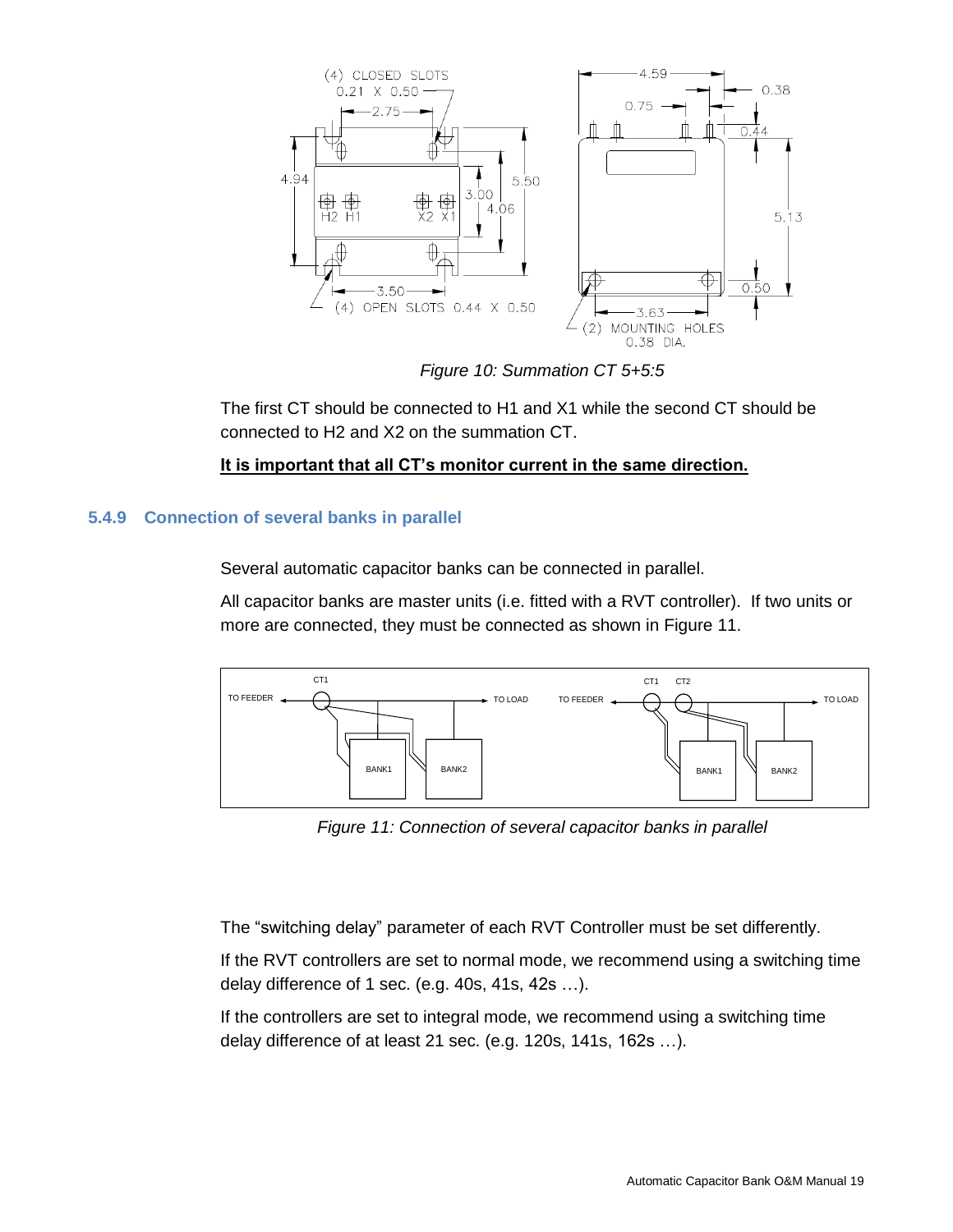

*Figure 10: Summation CT 5+5:5*

The first CT should be connected to H1 and X1 while the second CT should be connected to H2 and X2 on the summation CT.

**It is important that all CT's monitor current in the same direction.**

#### <span id="page-18-0"></span>**5.4.9 Connection of several banks in parallel**

Several automatic capacitor banks can be connected in parallel.

All capacitor banks are master units (i.e. fitted with a RVT controller). If two units or more are connected, they must be connected as shown in Figure 11.



*Figure 11: Connection of several capacitor banks in parallel*

The "switching delay" parameter of each RVT Controller must be set differently.

If the RVT controllers are set to normal mode, we recommend using a switching time delay difference of 1 sec. (e.g. 40s, 41s, 42s …).

If the controllers are set to integral mode, we recommend using a switching time delay difference of at least 21 sec. (e.g. 120s, 141s, 162s …).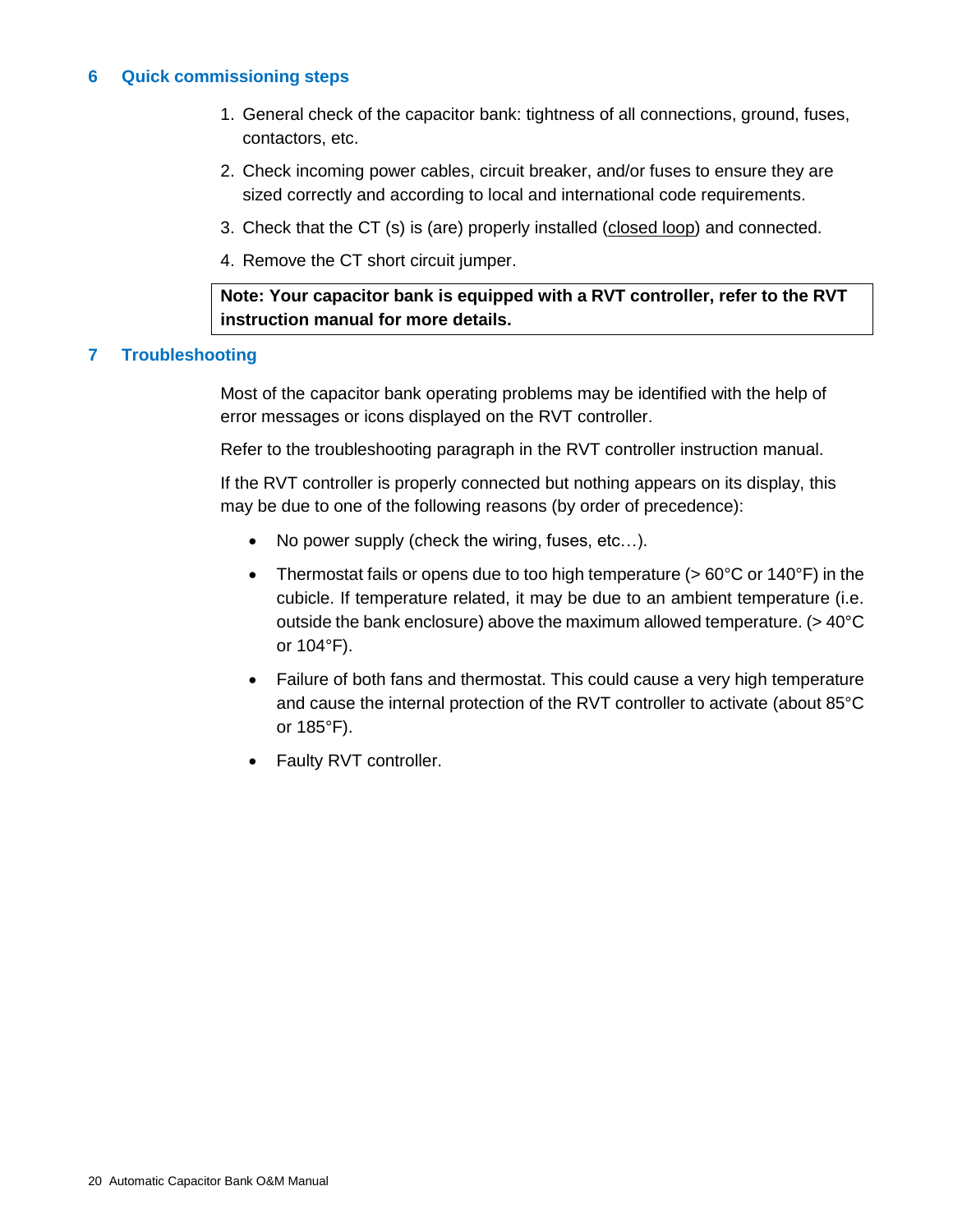#### <span id="page-19-0"></span>**6 Quick commissioning steps**

- 1. General check of the capacitor bank: tightness of all connections, ground, fuses, contactors, etc.
- 2. Check incoming power cables, circuit breaker, and/or fuses to ensure they are sized correctly and according to local and international code requirements.
- 3. Check that the CT (s) is (are) properly installed (closed loop) and connected.
- 4. Remove the CT short circuit jumper.

**Note: Your capacitor bank is equipped with a RVT controller, refer to the RVT instruction manual for more details.**

#### <span id="page-19-1"></span>**7 Troubleshooting**

Most of the capacitor bank operating problems may be identified with the help of error messages or icons displayed on the RVT controller.

Refer to the troubleshooting paragraph in the RVT controller instruction manual.

If the RVT controller is properly connected but nothing appears on its display, this may be due to one of the following reasons (by order of precedence):

- No power supply (check the wiring, fuses, etc...).
- Thermostat fails or opens due to too high temperature ( $> 60^{\circ}$ C or 140 $^{\circ}$ F) in the cubicle. If temperature related, it may be due to an ambient temperature (i.e. outside the bank enclosure) above the maximum allowed temperature. (> 40°C or 104°F).
- Failure of both fans and thermostat. This could cause a very high temperature and cause the internal protection of the RVT controller to activate (about 85°C or 185°F).
- Faulty RVT controller.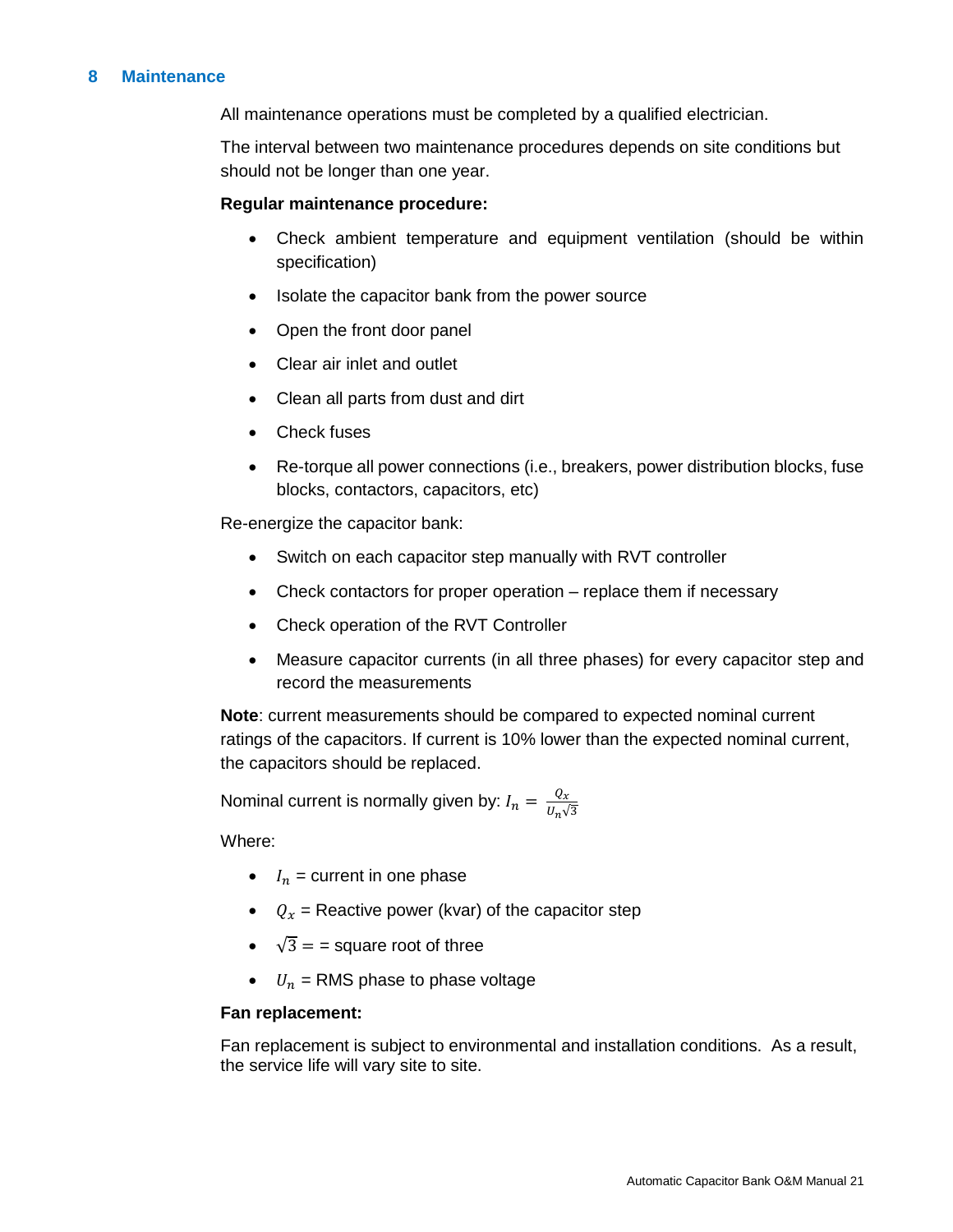#### <span id="page-20-0"></span>**8 Maintenance**

All maintenance operations must be completed by a qualified electrician.

The interval between two maintenance procedures depends on site conditions but should not be longer than one year.

#### **Regular maintenance procedure:**

- Check ambient temperature and equipment ventilation (should be within specification)
- Isolate the capacitor bank from the power source
- Open the front door panel
- Clear air inlet and outlet
- Clean all parts from dust and dirt
- Check fuses
- Re-torque all power connections (i.e., breakers, power distribution blocks, fuse blocks, contactors, capacitors, etc)

Re-energize the capacitor bank:

- Switch on each capacitor step manually with RVT controller
- Check contactors for proper operation replace them if necessary
- Check operation of the RVT Controller
- Measure capacitor currents (in all three phases) for every capacitor step and record the measurements

**Note**: current measurements should be compared to expected nominal current ratings of the capacitors. If current is 10% lower than the expected nominal current, the capacitors should be replaced.

Nominal current is normally given by:  $I_n = \frac{Q_x}{H_{\text{rad}}}$  $U_n\sqrt{3}$ 

Where:

- $I_n$  = current in one phase
- $Q_x$  = Reactive power (kvar) of the capacitor step
- $\sqrt{3}$  = = square root of three
- $\bullet$   $U_n$  = RMS phase to phase voltage

#### **Fan replacement:**

Fan replacement is subject to environmental and installation conditions. As a result, the service life will vary site to site.